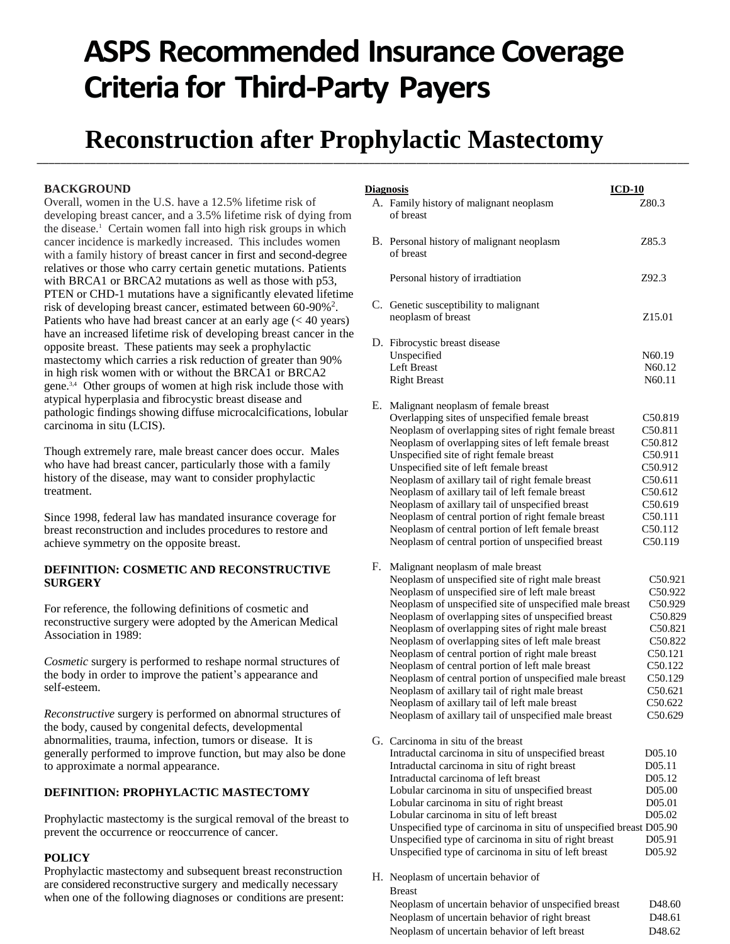# **ASPS Recommended Insurance Coverage Criteria for Third-Party Payers**

## **Reconstruction after Prophylactic Mastectomy** \_\_\_\_\_\_\_\_\_\_\_\_\_\_\_\_\_\_\_\_\_\_\_\_\_\_\_\_\_\_\_\_\_\_\_\_\_\_\_\_\_\_\_\_\_\_\_\_\_\_\_\_\_\_\_\_\_\_\_\_\_\_\_\_\_\_\_\_\_\_\_\_\_\_\_\_\_\_\_\_\_\_\_\_\_\_\_\_\_\_\_\_\_\_\_\_\_\_\_\_\_\_\_\_\_\_\_\_\_\_

### **BACKGROUND**

Overall, women in the U.S. have a 12.5% lifetime risk of developing breast cancer, and a 3.5% lifetime risk of dying from the disease.<sup>1</sup> Certain women fall into high risk groups in which cancer incidence is markedly increased. This includes women with a family history of breast cancer in first and second-degree relatives or those who carry certain genetic mutations. Patients with BRCA1 or BRCA2 mutations as well as those with p53, PTEN or CHD-1 mutations have a significantly elevated lifetime risk of developing breast cancer, estimated between 60-90%<sup>2</sup>. Patients who have had breast cancer at an early age  $(< 40$  years) have an increased lifetime risk of developing breast cancer in the opposite breast. These patients may seek a prophylactic mastectomy which carries a risk reduction of greater than 90% in high risk women with or without the BRCA1 or BRCA2 gene.3,4 Other groups of women at high risk include those with atypical hyperplasia and fibrocystic breast disease and pathologic findings showing diffuse microcalcifications, lobular carcinoma in situ (LCIS).

Though extremely rare, male breast cancer does occur. Males who have had breast cancer, particularly those with a family history of the disease, may want to consider prophylactic treatment.

Since 1998, federal law has mandated insurance coverage for breast reconstruction and includes procedures to restore and achieve symmetry on the opposite breast.

#### **DEFINITION: COSMETIC AND RECONSTRUCTIVE SURGERY**

For reference, the following definitions of cosmetic and reconstructive surgery were adopted by the American Medical Association in 1989:

*Cosmetic* surgery is performed to reshape normal structures of the body in order to improve the patient's appearance and self-esteem.

*Reconstructive* surgery is performed on abnormal structures of the body, caused by congenital defects, developmental abnormalities, trauma, infection, tumors or disease. It is generally performed to improve function, but may also be done to approximate a normal appearance.

#### **DEFINITION: PROPHYLACTIC MASTECTOMY**

Prophylactic mastectomy is the surgical removal of the breast to prevent the occurrence or reoccurrence of cancer.

#### **POLICY**

Prophylactic mastectomy and subsequent breast reconstruction are considered reconstructive surgery and medically necessary when one of the following diagnoses or conditions are present:

| <b>Diagnosis</b> |                                                                                                                                                                                                                                                                                                                                                                                                                                                                                                                                                                                                                                                                                                     | $ICD-10$                                                                                                                          |
|------------------|-----------------------------------------------------------------------------------------------------------------------------------------------------------------------------------------------------------------------------------------------------------------------------------------------------------------------------------------------------------------------------------------------------------------------------------------------------------------------------------------------------------------------------------------------------------------------------------------------------------------------------------------------------------------------------------------------------|-----------------------------------------------------------------------------------------------------------------------------------|
|                  | A. Family history of malignant neoplasm<br>of breast                                                                                                                                                                                                                                                                                                                                                                                                                                                                                                                                                                                                                                                | Z80.3                                                                                                                             |
|                  | B. Personal history of malignant neoplasm<br>of breast                                                                                                                                                                                                                                                                                                                                                                                                                                                                                                                                                                                                                                              | Z85.3                                                                                                                             |
|                  | Personal history of irradtiation                                                                                                                                                                                                                                                                                                                                                                                                                                                                                                                                                                                                                                                                    | Z92.3                                                                                                                             |
|                  | C. Genetic susceptibility to malignant<br>neoplasm of breast                                                                                                                                                                                                                                                                                                                                                                                                                                                                                                                                                                                                                                        | Z15.01                                                                                                                            |
|                  | D. Fibrocystic breast disease<br>Unspecified                                                                                                                                                                                                                                                                                                                                                                                                                                                                                                                                                                                                                                                        | N60.19                                                                                                                            |
|                  | <b>Left Breast</b><br><b>Right Breast</b>                                                                                                                                                                                                                                                                                                                                                                                                                                                                                                                                                                                                                                                           | N60.12<br>N60.11                                                                                                                  |
| Е.               | Malignant neoplasm of female breast<br>Overlapping sites of unspecified female breast<br>Neoplasm of overlapping sites of right female breast<br>Neoplasm of overlapping sites of left female breast<br>Unspecified site of right female breast<br>Unspecified site of left female breast<br>Neoplasm of axillary tail of right female breast<br>Neoplasm of axillary tail of left female breast<br>Neoplasm of axillary tail of unspecified breast<br>Neoplasm of central portion of right female breast<br>Neoplasm of central portion of left female breast<br>Neoplasm of central portion of unspecified breast                                                                                 | C50.819<br>C50.811<br>C <sub>50.812</sub><br>C50.911<br>C50.912<br>C50.611<br>C50.612<br>C50.619<br>C50.111<br>C50.112<br>C50.119 |
| F.               | Malignant neoplasm of male breast<br>Neoplasm of unspecified site of right male breast<br>Neoplasm of unspecified sire of left male breast<br>Neoplasm of unspecified site of unspecified male breast<br>Neoplasm of overlapping sites of unspecified breast<br>Neoplasm of overlapping sites of right male breast<br>Neoplasm of overlapping sites of left male breast<br>Neoplasm of central portion of right male breast<br>Neoplasm of central portion of left male breast<br>Neoplasm of central portion of unspecified male breast<br>Neoplasm of axillary tail of right male breast<br>Neoplasm of axillary tail of left male breast<br>Neoplasm of axillary tail of unspecified male breast | C50.921<br>C50.922<br>C50.929<br>C50.829<br>C50.821<br>C50.822<br>C50.121<br>C50.122<br>C50.129<br>C50.621<br>C50.622<br>C50.629  |
|                  | G. Carcinoma in situ of the breast<br>Intraductal carcinoma in situ of unspecified breast<br>Intraductal carcinoma in situ of right breast<br>Intraductal carcinoma of left breast<br>Lobular carcinoma in situ of unspecified breast<br>Lobular carcinoma in situ of right breast<br>Lobular carcinoma in situ of left breast<br>Unspecified type of carcinoma in situ of unspecified breast D05.90<br>Unspecified type of carcinoma in situ of right breast<br>Unspecified type of carcinoma in situ of left breast                                                                                                                                                                               | D05.10<br>D05.11<br>D <sub>05.12</sub><br>D <sub>05.00</sub><br>D05.01<br>D05.02<br>D05.91<br>D05.92                              |
|                  | H. Neoplasm of uncertain behavior of<br><b>Breast</b><br>Neoplasm of uncertain behavior of unspecified breast                                                                                                                                                                                                                                                                                                                                                                                                                                                                                                                                                                                       | D <sub>48.60</sub>                                                                                                                |

Neoplasm of uncertain behavior of right breast D48.61 Neoplasm of uncertain behavior of left breast D48.62